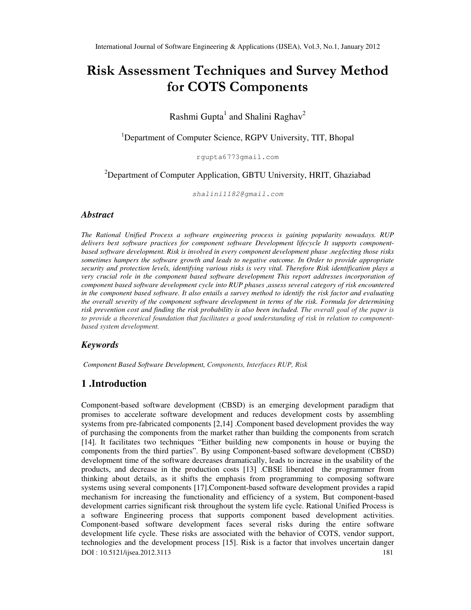# Risk Assessment Techniques and Survey Method for COTS Components

## Rashmi Gupta<sup>1</sup> and Shalini Raghav<sup>2</sup>

<sup>1</sup>Department of Computer Science, RGPV University, TIT, Bhopal

rgupta6773gmail.com

 $2D$ Pepartment of Computer Application, GBTU University, HRIT, Ghaziabad

shalini1182@gmail.com

#### *Abstract*

*The Rational Unified Process a software engineering process is gaining popularity nowadays. RUP delivers best software practices for component software Development lifecycle It supports componentbased software development. Risk is involved in every component development phase .neglecting those risks sometimes hampers the software growth and leads to negative outcome. In Order to provide appropriate security and protection levels, identifying various risks is very vital. Therefore Risk identification plays a very crucial role in the component based software development This report addresses incorporation of component based software development cycle into RUP phases ,assess several category of risk encountered in the component based software. It also entails a survey method to identify the risk factor and evaluating the overall severity of the component software development in terms of the risk. Formula for determining risk prevention cost and finding the risk probability is also been included. The overall goal of the paper is to provide a theoretical foundation that facilitates a good understanding of risk in relation to componentbased system development.* 

#### *Keywords*

*Component Based Software Development, Components, Interfaces RUP, Risk* 

## **1 .Introduction**

DOI : 10.5121/ijsea.2012.3113 181 Component-based software development (CBSD) is an emerging development paradigm that promises to accelerate software development and reduces development costs by assembling systems from pre-fabricated components [2,14] .Component based development provides the way of purchasing the components from the market rather than building the components from scratch [14]. It facilitates two techniques "Either building new components in house or buying the components from the third parties". By using Component-based software development (CBSD) development time of the software decreases dramatically, leads to increase in the usability of the products, and decrease in the production costs [13] .CBSE liberated the programmer from thinking about details, as it shifts the emphasis from programming to composing software systems using several components [17].Component-based software development provides a rapid mechanism for increasing the functionality and efficiency of a system, But component-based development carries significant risk throughout the system life cycle. Rational Unified Process is a software Engineering process that supports component based development activities. Component-based software development faces several risks during the entire software development life cycle. These risks are associated with the behavior of COTS, vendor support, technologies and the development process [15]. Risk is a factor that involves uncertain danger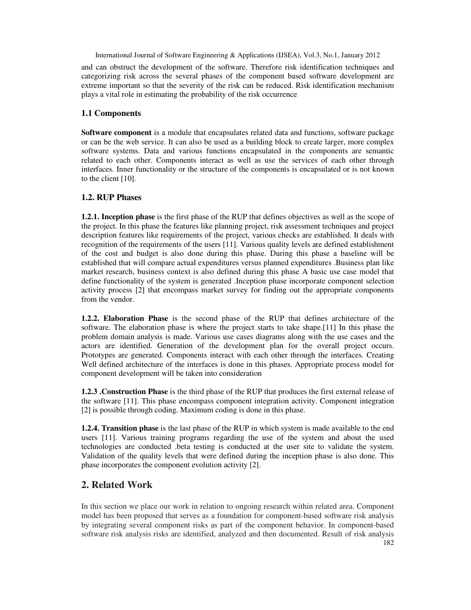and can obstruct the development of the software. Therefore risk identification techniques and categorizing risk across the several phases of the component based software development are extreme important so that the severity of the risk can be reduced. Risk identification mechanism plays a vital role in estimating the probability of the risk occurrence

## **1.1 Components**

**Software component** is a module that encapsulates related data and functions, software package or can be the web service. It can also be used as a building block to create larger, more complex software systems. Data and various functions encapsulated in the components are semantic related to each other. Components interact as well as use the services of each other through interfaces. Inner functionality or the structure of the components is encapsulated or is not known to the client [10].

## **1.2. RUP Phases**

**1.2.1. Inception phase** is the first phase of the RUP that defines objectives as well as the scope of the project. In this phase the features like planning project, risk assessment techniques and project description features like requirements of the project, various checks are established. It deals with recognition of the requirements of the users [11]. Various quality levels are defined establishment of the cost and budget is also done during this phase. During this phase a baseline will be established that will compare actual expenditures versus planned expenditures .Business plan like market research, business context is also defined during this phase A basic use case model that define functionality of the system is generated .Inception phase incorporate component selection activity process [2] that encompass market survey for finding out the appropriate components from the vendor.

**1.2.2. Elaboration Phase** is the second phase of the RUP that defines architecture of the software. The elaboration phase is where the project starts to take shape.[11] In this phase the problem domain analysis is made. Various use cases diagrams along with the use cases and the actors are identified. Generation of the development plan for the overall project occurs. Prototypes are generated. Components interact with each other through the interfaces. Creating Well defined architecture of the interfaces is done in this phases. Appropriate process model for component development will be taken into consideration

**1.2.3 .Construction Phase** is the third phase of the RUP that produces the first external release of the software [11]. This phase encompass component integration activity. Component integration [2] is possible through coding. Maximum coding is done in this phase.

**1.2.4. Transition phase** is the last phase of the RUP in which system is made available to the end users [11]. Various training programs regarding the use of the system and about the used technologies are conducted .beta testing is conducted at the user site to validate the system. Validation of the quality levels that were defined during the inception phase is also done. This phase incorporates the component evolution activity [2].

## **2. Related Work**

182 In this section we place our work in relation to ongoing research within related area. Component model has been proposed that serves as a foundation for component-based software risk analysis by integrating several component risks as part of the component behavior. In component-based software risk analysis risks are identified, analyzed and then documented. Result of risk analysis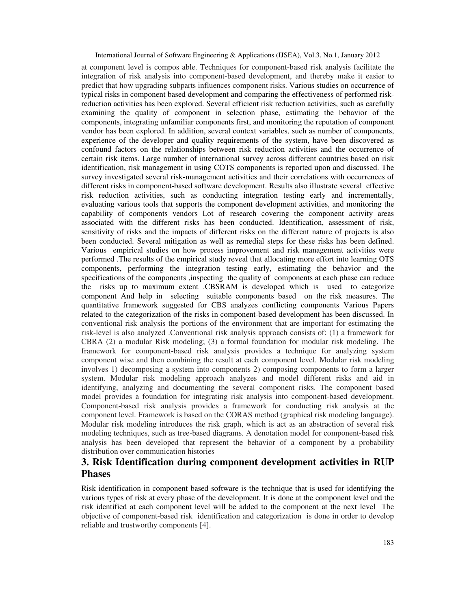at component level is compos able. Techniques for component-based risk analysis facilitate the integration of risk analysis into component-based development, and thereby make it easier to predict that how upgrading subparts influences component risks. Various studies on occurrence of typical risks in component based development and comparing the effectiveness of performed riskreduction activities has been explored. Several efficient risk reduction activities, such as carefully examining the quality of component in selection phase, estimating the behavior of the components, integrating unfamiliar components first, and monitoring the reputation of component vendor has been explored. In addition, several context variables, such as number of components, experience of the developer and quality requirements of the system, have been discovered as confound factors on the relationships between risk reduction activities and the occurrence of certain risk items. Large number of international survey across different countries based on risk identification, risk management in using COTS components is reported upon and discussed. The survey investigated several risk-management activities and their correlations with occurrences of different risks in component-based software development. Results also illustrate several effective risk reduction activities, such as conducting integration testing early and incrementally, evaluating various tools that supports the component development activities, and monitoring the capability of components vendors Lot of research covering the component activity areas associated with the different risks has been conducted. Identification, assessment of risk, sensitivity of risks and the impacts of different risks on the different nature of projects is also been conducted. Several mitigation as well as remedial steps for these risks has been defined. Various empirical studies on how process improvement and risk management activities were performed .The results of the empirical study reveal that allocating more effort into learning OTS components, performing the integration testing early, estimating the behavior and the specifications of the components ,inspecting the quality of components at each phase can reduce the risks up to maximum extent .CBSRAM is developed which is used to categorize component And help in selecting suitable components based on the risk measures. The quantitative framework suggested for CBS analyzes conflicting components Various Papers related to the categorization of the risks in component-based development has been discussed. In conventional risk analysis the portions of the environment that are important for estimating the risk-level is also analyzed .Conventional risk analysis approach consists of: (1) a framework for CBRA (2) a modular Risk modeling; (3) a formal foundation for modular risk modeling. The framework for component-based risk analysis provides a technique for analyzing system component wise and then combining the result at each component level. Modular risk modeling involves 1) decomposing a system into components 2) composing components to form a larger system. Modular risk modeling approach analyzes and model different risks and aid in identifying, analyzing and documenting the several component risks. The component based model provides a foundation for integrating risk analysis into component-based development. Component-based risk analysis provides a framework for conducting risk analysis at the component level. Framework is based on the CORAS method (graphical risk modeling language). Modular risk modeling introduces the risk graph, which is act as an abstraction of several risk modeling techniques, such as tree-based diagrams. A denotation model for component-based risk analysis has been developed that represent the behavior of a component by a probability distribution over communication histories

## **3. Risk Identification during component development activities in RUP Phases**

Risk identification in component based software is the technique that is used for identifying the various types of risk at every phase of the development*.* It is done at the component level and the risk identified at each component level will be added to the component at the next level The objective of component-based risk identification and categorization is done in order to develop reliable and trustworthy components [4].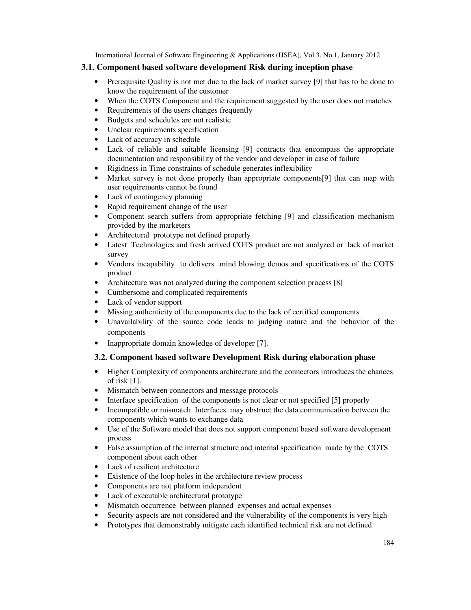## **3.1. Component based software development Risk during inception phase**

- Prerequisite Quality is not met due to the lack of market survey [9] that has to be done to know the requirement of the customer
- When the COTS Component and the requirement suggested by the user does not matches
- Requirements of the users changes frequently
- Budgets and schedules are not realistic
- Unclear requirements specification
- Lack of accuracy in schedule
- Lack of reliable and suitable licensing [9] contracts that encompass the appropriate documentation and responsibility of the vendor and developer in case of failure
- Rigidness in Time constraints of schedule generates inflexibility
- Market survey is not done properly than appropriate components[9] that can map with user requirements cannot be found
- Lack of contingency planning
- Rapid requirement change of the user
- Component search suffers from appropriate fetching [9] and classification mechanism provided by the marketers
- Architectural prototype not defined properly
- Latest Technologies and fresh arrived COTS product are not analyzed or lack of market survey
- Vendors incapability to delivers mind blowing demos and specifications of the COTS product
- Architecture was not analyzed during the component selection process [8]
- Cumbersome and complicated requirements
- Lack of vendor support
- Missing authenticity of the components due to the lack of certified components
- Unavailability of the source code leads to judging nature and the behavior of the components
- Inappropriate domain knowledge of developer [7].

## **3.2. Component based software Development Risk during elaboration phase**

- Higher Complexity of components architecture and the connectors introduces the chances of risk [1].
- Mismatch between connectors and message protocols
- Interface specification of the components is not clear or not specified [5] properly
- Incompatible or mismatch Interfaces may obstruct the data communication between the components which wants to exchange data
- Use of the Software model that does not support component based software development process
- False assumption of the internal structure and internal specification made by the COTS component about each other
- Lack of resilient architecture
- Existence of the loop holes in the architecture review process
- Components are not platform independent
- Lack of executable architectural prototype
- Mismatch occurrence between planned expenses and actual expenses
- Security aspects are not considered and the vulnerability of the components is very high
- Prototypes that demonstrably mitigate each identified technical risk are not defined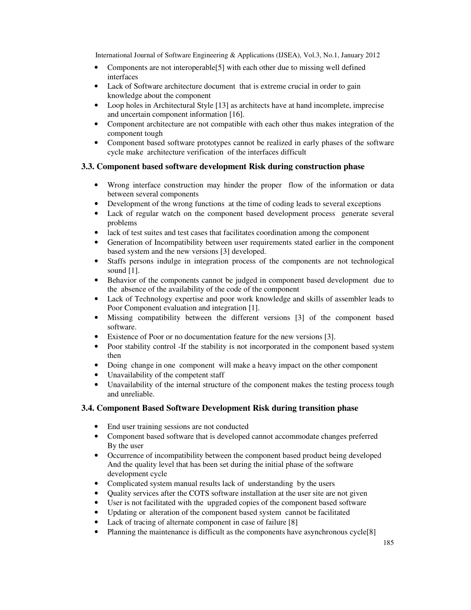- Components are not interoperable [5] with each other due to missing well defined interfaces
- Lack of Software architecture document that is extreme crucial in order to gain knowledge about the component
- Loop holes in Architectural Style [13] as architects have at hand incomplete, imprecise and uncertain component information [16].
- Component architecture are not compatible with each other thus makes integration of the component tough
- Component based software prototypes cannot be realized in early phases of the software cycle make architecture verification of the interfaces difficult

## **3.3. Component based software development Risk during construction phase**

- Wrong interface construction may hinder the proper flow of the information or data between several components
- Development of the wrong functions at the time of coding leads to several exceptions
- Lack of regular watch on the component based development process generate several problems
- lack of test suites and test cases that facilitates coordination among the component
- Generation of Incompatibility between user requirements stated earlier in the component based system and the new versions [3] developed.
- Staffs persons indulge in integration process of the components are not technological sound [1].
- Behavior of the components cannot be judged in component based development due to the absence of the availability of the code of the component
- Lack of Technology expertise and poor work knowledge and skills of assembler leads to Poor Component evaluation and integration [1].
- Missing compatibility between the different versions [3] of the component based software.
- Existence of Poor or no documentation feature for the new versions [3].
- Poor stability control -If the stability is not incorporated in the component based system then
- Doing change in one component will make a heavy impact on the other component
- Unavailability of the competent staff
- Unavailability of the internal structure of the component makes the testing process tough and unreliable.

## **3.4. Component Based Software Development Risk during transition phase**

- End user training sessions are not conducted
- Component based software that is developed cannot accommodate changes preferred By the user
- Occurrence of incompatibility between the component based product being developed And the quality level that has been set during the initial phase of the software development cycle
- Complicated system manual results lack of understanding by the users
- Quality services after the COTS software installation at the user site are not given
- User is not facilitated with the upgraded copies of the component based software
- Updating or alteration of the component based system cannot be facilitated
- Lack of tracing of alternate component in case of failure [8]
- Planning the maintenance is difficult as the components have asynchronous cycle<sup>[8]</sup>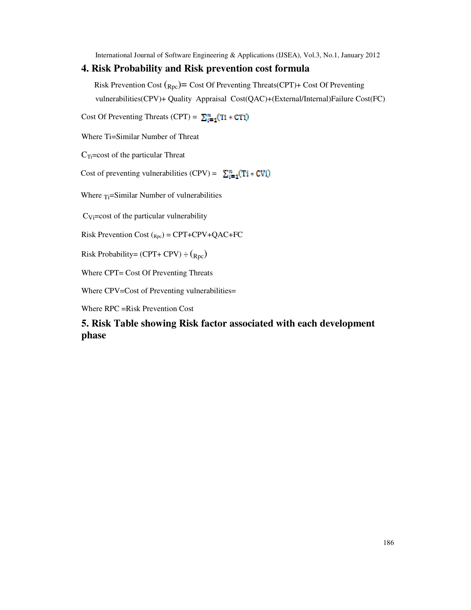## **4. Risk Probability and Risk prevention cost formula**

Risk Prevention Cost  $({}_{Rpc})$  = Cost Of Preventing Threats(CPT)+ Cost Of Preventing vulnerabilities(CPV)+ Quality Appraisal Cost(QAC)+(External/Internal)Failure Cost(FC)

Cost Of Preventing Threats (CPT) =  $\sum_{i=1}^{n} (T1 * CT1)$ 

Where Ti=Similar Number of Threat

 $C<sub>Ti</sub>=\cos t$  of the particular Threat

Cost of preventing vulnerabilities (CPV) =  $\sum_{i=1}^{n} (Ti * CVi)$ 

Where  $T_i = Similar$  Number of vulnerabilities

 $C_{Vi}$ =cost of the particular vulnerability

Risk Prevention Cost  $_{Rpc}$  = CPT+CPV+QAC+FC

Risk Probability= (CPT+ CPV)  $\div$  (<sub>Rpc</sub>)

Where CPT= Cost Of Preventing Threats

Where CPV=Cost of Preventing vulnerabilities=

Where RPC =Risk Prevention Cost

**5. Risk Table showing Risk factor associated with each development phase**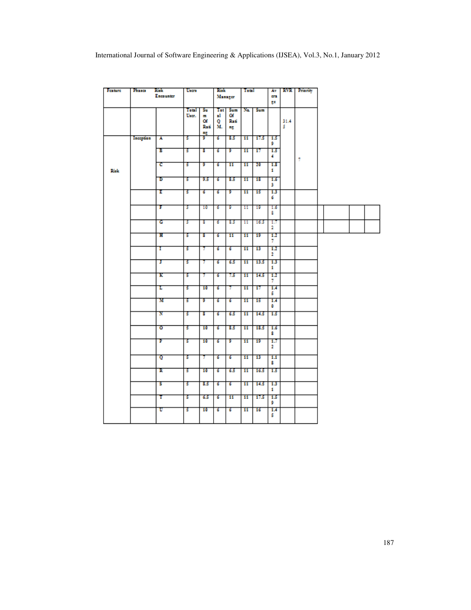| <b>Festure</b> | Иана      | Rink<br>Encounter | Users          |                                 | Risk                              | Manager                 | Total           |         | Åτ<br><b>CF3</b>   |           | <b>RVR</b> Prierity |  |  |
|----------------|-----------|-------------------|----------------|---------------------------------|-----------------------------------|-------------------------|-----------------|---------|--------------------|-----------|---------------------|--|--|
|                |           |                   |                |                                 |                                   |                         |                 |         | ge                 |           |                     |  |  |
|                |           |                   | Total<br>User. | Su.<br><b>Sep</b><br>Οf<br>Rati | Tet <sup>1</sup><br>ыl<br>Q<br>М. | Sum<br>Of<br>Radi<br>нg |                 | Na. Sum |                    | 31.4<br>s |                     |  |  |
|                | Inception | А                 | т              | 쁅                               | т                                 | 8.5                     | $\overline{11}$ | 17.5    | 15<br>9            |           |                     |  |  |
|                |           | в                 | т              | 8                               | ъ                                 | т                       | 11              | 17      | 1.5<br>4           |           | 7                   |  |  |
| Rick           |           | с                 | т              | T                               | ъ                                 | 11                      | $\overline{11}$ | -20     | 1.8<br>1.          |           |                     |  |  |
|                |           | ъ                 | т              | 93                              | ъ                                 | 8.5                     | 11              | 18      | 1.6<br>3           |           |                     |  |  |
|                |           | т                 | т              | б                               | ъ                                 | т                       | 11              | 15      | 13<br>6            |           |                     |  |  |
|                |           | т                 | т              | 10                              | ъ                                 | т                       | п               | 19      | 1.6<br>8           |           |                     |  |  |
|                |           | c                 | т              | т                               | ъ                                 | 8.5                     | п               | 16.5    | 1.7<br>2           |           |                     |  |  |
|                |           | ш                 | т              | т                               | ъ                                 | 11                      | 11              | 19      | 1.2<br>7           |           |                     |  |  |
|                |           | т                 | т              | Τ                               | ъ                                 | ъ                       | 11              | 13      | 1.2<br>2           |           |                     |  |  |
|                |           | т                 | т              | 7                               | ъ                                 | 6.5                     | 11              | 13.5    | 1.3<br>1           |           |                     |  |  |
|                |           | к                 | т              | τ                               | 6                                 | 73                      | 11              | 14.5    | $1.2^{\circ}$<br>7 |           |                     |  |  |
|                |           | ъ                 | т              | 10                              | ъ                                 | Τ                       | 11              | 17      | 1.4<br>s           |           |                     |  |  |
|                |           | м                 | 5              | 9                               | б                                 | б                       | 11              | 15      | 1.4<br>٥           |           |                     |  |  |
|                |           | N                 | 5              | 8                               | 6                                 | 6.5                     | 11              | 14.5    | 1.5                |           |                     |  |  |
|                |           | ०                 | т              | 10                              | ъ                                 | 85                      | $\overline{11}$ | 18.5    | 1.6<br>8           |           |                     |  |  |
|                |           | Р                 | т              | 10                              | ъ                                 | σ                       | 11              | 19      | 1.7<br>2           |           |                     |  |  |
|                |           | o                 | т              | Τ                               | ъ                                 | ъ                       | 11              | 13      | 1.1<br>8           |           |                     |  |  |
|                |           | к                 | т              | $\overline{10}$                 | ъ                                 | 6.5                     | $\overline{11}$ | 16.5    | 1.5                |           |                     |  |  |
|                |           | s                 | т              | 8.5                             | ъ                                 | ъ                       | 11              | 14.5    | 1.3<br>1           |           |                     |  |  |
|                |           | т                 | 5              | 6.5                             | ъ                                 | 11                      | 11              | 17.5    | 1.5<br>9           |           |                     |  |  |
|                |           | υ                 | т              | 10                              | ъ                                 | ъ                       | 11              | 16      | 1.4<br>5.          |           |                     |  |  |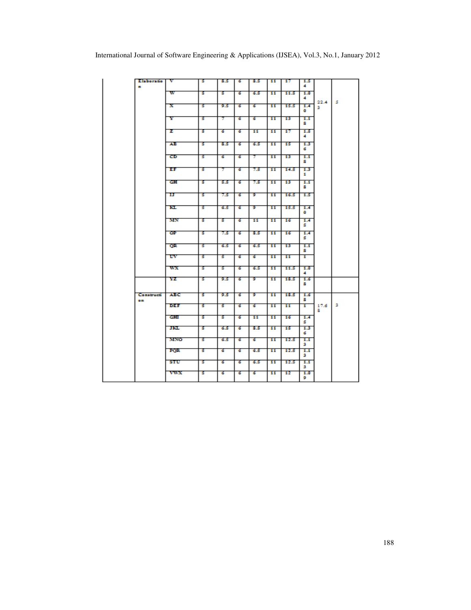| a.  | Elaboratio | v          | 5  | 8.5 | ъ  | 8.5             | -11             | 17   | 1.5<br>4 |           |   |
|-----|------------|------------|----|-----|----|-----------------|-----------------|------|----------|-----------|---|
|     |            | w          | ъ  | 5.  | ъ  | 6.5             | $\overline{11}$ | 11.5 | 1.0<br>4 |           |   |
|     |            | x          | т  | 9.5 | ъ  | ъ               | 11              | 15.5 | 1.4<br>۰ | 22.4<br>з | s |
|     |            | Y          | Б  | Τ   | ъ  | ъ               | 11              | 13   | 1.1<br>8 |           |   |
|     |            | z          | т  | ъ   | ढ  | 11              | 11              | 17   | 1.5<br>4 |           |   |
|     |            | AB.        | 5. | 8.5 | ø. | 6.5             | 11              | 15   | 1.3<br>6 |           |   |
|     |            | œ          | т  | ъ   | ъ  | Τ               | 11              | 13   | 1.1<br>8 |           |   |
|     |            | ΕF         | Б  | 7   | G. | 7.5             | 11              | 14.5 | 1.3<br>1 |           |   |
|     |            | cн         | s  | 5.5 | ъ  | 7.5             | 11              | 13   | 1.1<br>8 |           |   |
|     |            | п          | s  | 7.5 | G. | 9.              | 11              | 16.5 | 1.5      |           |   |
|     |            | ĸı.        | s  | 6.5 | G. | 9.              | 11              | 15.5 | 1.4<br>۰ |           |   |
|     |            | MN         | s  | s   | G. | 11              | 11              | 16   | 1.4<br>s |           |   |
|     |            | œ          | s  | 7.5 | G. | 8.5             | 11              | 16   | 1.4<br>s |           |   |
|     |            | œ          | s  | 6.5 | G. | 6.5             | 11              | 13   | 1.1<br>8 |           |   |
|     |            | w          | т  | 5.  | ъ  | ъ               | 11              | 11   | 1        |           |   |
|     |            | WX.        | ъ  | ъ   | ढ  | 6.5             | $\mathbf{11}$   | 11.5 | 1.0<br>4 |           |   |
|     |            | YZ         | ъ  | 9.5 | ъ  | 9.              | 11              | 18.5 | 1.6<br>s |           |   |
| o a | Constructi | ABC.       | 5. | 9.5 | ъ  | 9.              | 11              | 18.5 | 1.6<br>8 |           |   |
|     |            | DEF        | ъ  | 5.  | ढ  | ъ               | 11              | 11   | T        | 17.6<br>а | з |
|     |            | <b>CHI</b> | 5  | 5.  | ъ  | $\overline{11}$ | $\overline{11}$ | 16   | 1.4<br>s |           |   |
|     |            | ж          | т  | 6.5 | G. | 8.5             | 11              | 15   | 1.3<br>6 |           |   |
|     |            | MNO        | s  | 6.5 | ъ  | G.              | 11              | 12.5 | 1.1<br>з |           |   |
|     |            | ron        | т  | G.  | ъ  | 6.5             | 11              | 12.5 | 1.1<br>з |           |   |
|     |            | sru        | ъ  | ъ   | ъ  | 6.5             | 11              | 12.5 | 1.1<br>з |           |   |
|     |            | vwx        | т  | б   | б  | ø.              | 11              | 12   | 1.0<br>9 |           |   |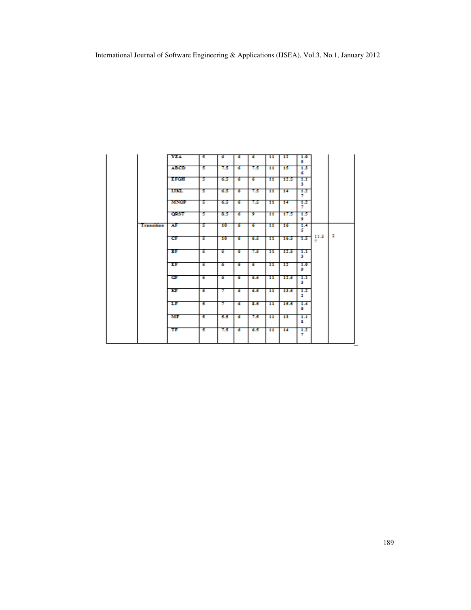|            | YZA.        | ъ  | G.  | <b>G</b> | G.  | 11              | 12              | 1.0<br>9. |      |                         |
|------------|-------------|----|-----|----------|-----|-----------------|-----------------|-----------|------|-------------------------|
|            | <b>ABCD</b> | 5  | 7.5 | ढ        | 7.5 | $\overline{11}$ | 15              | 1.3<br>6. |      |                         |
|            | <b>EFCH</b> | т  | 6.5 | -6       | ъ   | 11              | 12.5            | 1.1<br>з  |      |                         |
|            | шш          | 5. | 6.5 | 6.       | 7.5 | 11              | 14              | 1.2<br>v. |      |                         |
|            | <b>MNOP</b> | т  | 6.5 | ढ        | 7.5 | 11              | 14 <sub>1</sub> | 1.2<br>v. |      |                         |
|            | <b>QRST</b> | т  | 8.5 | ढ        | ᢧ   | $\mathbf{11}$   | 17.5            | 1.5<br>9  |      |                         |
| Transition | ÆF          | т  | 10  | ढ        | ъ   | $\overline{11}$ | 16              | 1.4<br>s  |      |                         |
|            | œ           | т  | 10  | ढ        | 6.5 | $\overline{11}$ | 16.5            | 1.5       | 11.3 | $\overline{\mathbf{2}}$ |
|            | вF          | т  | т   | 76       | 7.5 | 11              | 12.5            | 1.1<br>з  |      |                         |
|            | ЕF          | т  | ъ   | 6        | ъ   | 11              | 12              | 1.0<br>9. |      |                         |
|            | œ           | т  | т   | ъ        | 6.5 | $\overline{11}$ | 12.5            | 1.1<br>з  |      |                         |
|            | ю           | т  | π   | т        | 6.5 | $\overline{11}$ | 13.5            | 1.2<br>2. |      |                         |
|            | TF.         | т  | π   | ъ        | 8.5 | 11              | 15.5            | 1.4<br>۰  |      |                         |
|            | мғ          | т  | 5.5 | ढ        | 7.5 | 11              | 13              | 1.1<br>8. |      |                         |
|            | π           | 5  | 7.5 | G        | 6.5 | 11              | 14              | 1.2<br>7  |      |                         |
|            |             |    |     |          |     |                 |                 |           |      |                         |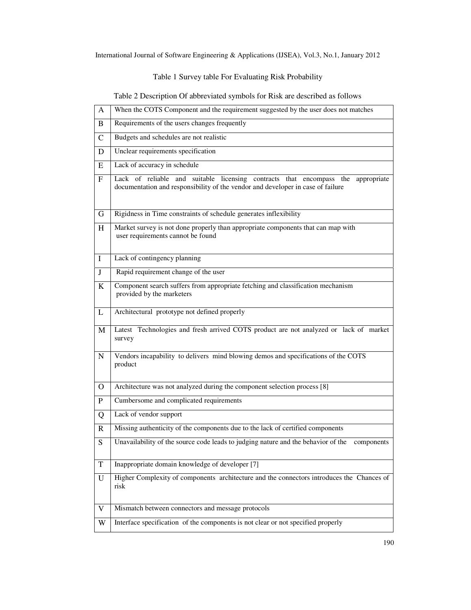Table 1 Survey table For Evaluating Risk Probability

Table 2 Description Of abbreviated symbols for Risk are described as follows

| A              | When the COTS Component and the requirement suggested by the user does not matches                                                                                  |
|----------------|---------------------------------------------------------------------------------------------------------------------------------------------------------------------|
| B.             | Requirements of the users changes frequently                                                                                                                        |
| $\mathcal{C}$  | Budgets and schedules are not realistic                                                                                                                             |
| D              | Unclear requirements specification                                                                                                                                  |
| E              | Lack of accuracy in schedule                                                                                                                                        |
| $\mathbf{F}$   | Lack of reliable and suitable licensing contracts that encompass the appropriate<br>documentation and responsibility of the vendor and developer in case of failure |
| G              | Rigidness in Time constraints of schedule generates inflexibility                                                                                                   |
| H              | Market survey is not done properly than appropriate components that can map with<br>user requirements cannot be found                                               |
| $\bf{I}$       | Lack of contingency planning                                                                                                                                        |
| J              | Rapid requirement change of the user                                                                                                                                |
| K              | Component search suffers from appropriate fetching and classification mechanism<br>provided by the marketers                                                        |
| L              | Architectural prototype not defined properly                                                                                                                        |
| M              | Latest Technologies and fresh arrived COTS product are not analyzed or lack of market<br>survey                                                                     |
| N              | Vendors incapability to delivers mind blowing demos and specifications of the COTS<br>product                                                                       |
| $\overline{O}$ | Architecture was not analyzed during the component selection process [8]                                                                                            |
| P              | Cumbersome and complicated requirements                                                                                                                             |
| Q              | Lack of vendor support                                                                                                                                              |
| R              | Missing authenticity of the components due to the lack of certified components                                                                                      |
| S              | Unavailability of the source code leads to judging nature and the behavior of the<br>components                                                                     |
| $\mathbf T$    | Inappropriate domain knowledge of developer [7]                                                                                                                     |
| U              | Higher Complexity of components architecture and the connectors introduces the Chances of<br>risk                                                                   |
| V              | Mismatch between connectors and message protocols                                                                                                                   |
| W              | Interface specification of the components is not clear or not specified properly                                                                                    |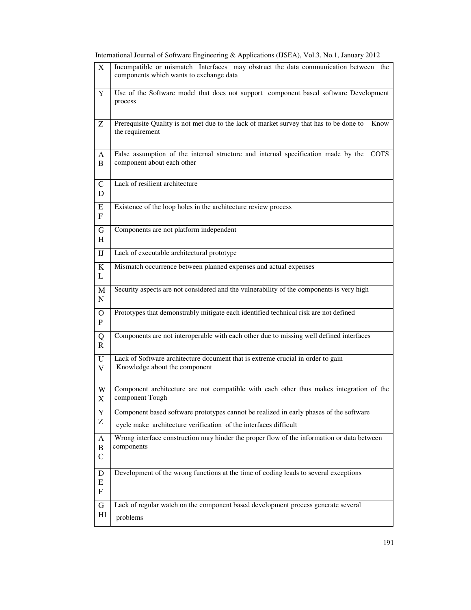| X                            | Incompatible or mismatch Interfaces may obstruct the data communication between the<br>components which wants to exchange data |
|------------------------------|--------------------------------------------------------------------------------------------------------------------------------|
| Y                            | Use of the Software model that does not support component based software Development<br>process                                |
| Z                            | Prerequisite Quality is not met due to the lack of market survey that has to be done to<br>Know<br>the requirement             |
| A<br>B                       | False assumption of the internal structure and internal specification made by the<br><b>COTS</b><br>component about each other |
| $\mathsf{C}$<br>D            | Lack of resilient architecture                                                                                                 |
| E<br>$\mathbf{F}$            | Existence of the loop holes in the architecture review process                                                                 |
| G<br>H                       | Components are not platform independent                                                                                        |
| $_{\text{IJ}}$               | Lack of executable architectural prototype                                                                                     |
| K<br>L                       | Mismatch occurrence between planned expenses and actual expenses                                                               |
| M<br>$\mathbf N$             | Security aspects are not considered and the vulnerability of the components is very high                                       |
| $\mathbf{O}$<br>$\mathbf{P}$ | Prototypes that demonstrably mitigate each identified technical risk are not defined                                           |
| Q<br>$\mathbf{R}$            | Components are not interoperable with each other due to missing well defined interfaces                                        |
| U<br>V                       | Lack of Software architecture document that is extreme crucial in order to gain<br>Knowledge about the component               |
| W<br>X                       | Component architecture are not compatible with each other thus makes integration of the<br>component Tough                     |
| Y                            | Component based software prototypes cannot be realized in early phases of the software                                         |
| Z                            | cycle make architecture verification of the interfaces difficult                                                               |
| A                            | Wrong interface construction may hinder the proper flow of the information or data between<br>components                       |
| $\, {\bf B}$<br>${\bf C}$    |                                                                                                                                |
| $\mathbf D$<br>E<br>F        | Development of the wrong functions at the time of coding leads to several exceptions                                           |
| $\mathbf G$                  | Lack of regular watch on the component based development process generate several                                              |
| H                            | problems                                                                                                                       |

International Journal of Software Engineering & Applications (IJSEA), Vol.3, No.1, January 2012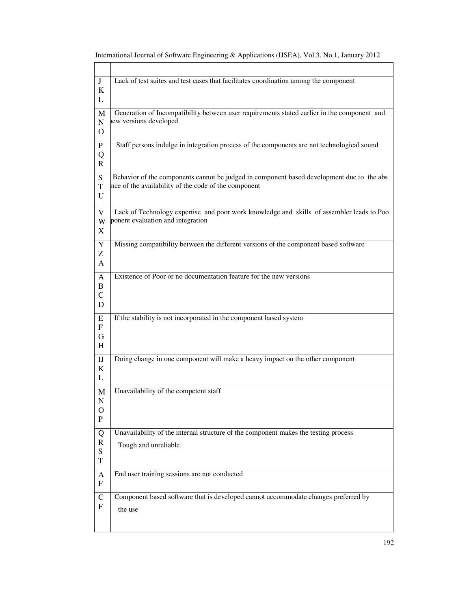| J<br>K<br>L                 | Lack of test suites and test cases that facilitates coordination among the component                                                              |
|-----------------------------|---------------------------------------------------------------------------------------------------------------------------------------------------|
| M<br>N<br>O                 | Generation of Incompatibility between user requirements stated earlier in the component and<br>lew versions developed                             |
| P<br>Q<br>R                 | Staff persons indulge in integration process of the components are not technological sound                                                        |
| S<br>T<br>U                 | Behavior of the components cannot be judged in component based development due to the abs<br>nce of the availability of the code of the component |
| V<br>W<br>X                 | Lack of Technology expertise and poor work knowledge and skills of assembler leads to Poo<br>ponent evaluation and integration                    |
| Y<br>Z<br>A                 | Missing compatibility between the different versions of the component based software                                                              |
| A<br>B<br>$\mathbf C$<br>D  | Existence of Poor or no documentation feature for the new versions                                                                                |
| E<br>$\mathbf{F}$<br>G<br>H | If the stability is not incorporated in the component based system                                                                                |
| $_{\rm I}$<br>K<br>L        | Doing change in one component will make a heavy impact on the other component                                                                     |
| M<br>N<br>O<br>$\mathbf{P}$ | Unavailability of the competent staff                                                                                                             |
| Q<br>$\mathbf R$<br>S<br>T  | Unavailability of the internal structure of the component makes the testing process<br>Tough and unreliable                                       |
| A<br>${\bf F}$              | End user training sessions are not conducted                                                                                                      |
| $\mathbf C$<br>F            | Component based software that is developed cannot accommodate changes preferred by<br>the use                                                     |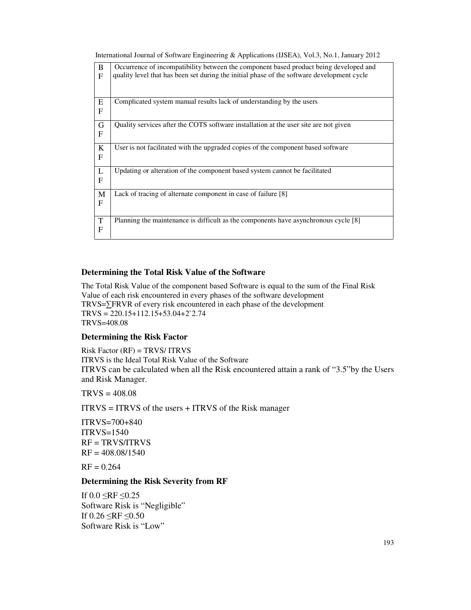| International Journal of Software Engineering & Applications (IJSEA), Vol.3, No.1, January 2012 |  |  |  |
|-------------------------------------------------------------------------------------------------|--|--|--|
|                                                                                                 |  |  |  |
|                                                                                                 |  |  |  |
|                                                                                                 |  |  |  |

| B                 | Occurrence of incompatibility between the component based product being developed and      |
|-------------------|--------------------------------------------------------------------------------------------|
| F                 | quality level that has been set during the initial phase of the software development cycle |
|                   |                                                                                            |
| ${\bf E}$         | Complicated system manual results lack of understanding by the users                       |
| F                 |                                                                                            |
| $\mathbf G$       | Quality services after the COTS software installation at the user site are not given       |
| F                 |                                                                                            |
| K                 | User is not facilitated with the upgraded copies of the component based software           |
| F                 |                                                                                            |
|                   | Updating or alteration of the component based system cannot be facilitated                 |
| L<br>$\mathbf{F}$ |                                                                                            |
|                   |                                                                                            |
| $\mathbf M$       | Lack of tracing of alternate component in case of failure [8]                              |
| F                 |                                                                                            |
| $\mathbf T$       | Planning the maintenance is difficult as the components have asynchronous cycle [8]        |
| F                 |                                                                                            |
|                   |                                                                                            |

## **Determining the Total Risk Value of the Software**

The Total Risk Value of the component based Software is equal to the sum of the Final Risk Value of each risk encountered in every phases of the software development TRVS=∑FRVR of every risk encountered in each phase of the development  $TRYS = 220.15 + 112.15 + 53.04 + 2^2.74$ TRVS=408.08

#### **Determining the Risk Factor**

Risk Factor (RF) = TRVS/ ITRVS ITRVS is the Ideal Total Risk Value of the Software ITRVS can be calculated when all the Risk encountered attain a rank of "3.5"by the Users and Risk Manager.

 $TRYS = 408.08$ 

 $ITRVS = ITRVS$  of the users  $+ ITRVS$  of the Risk manager

ITRVS=700+840 ITRVS=1540  $RF = TRVS/ITRVS$  $RF = 408.08/1540$ 

 $RF = 0.264$ 

## **Determining the Risk Severity from RF**

If  $0.0 \leq RF \leq 0.25$ Software Risk is "Negligible" If  $0.26 \leq RF \leq 0.50$ Software Risk is "Low"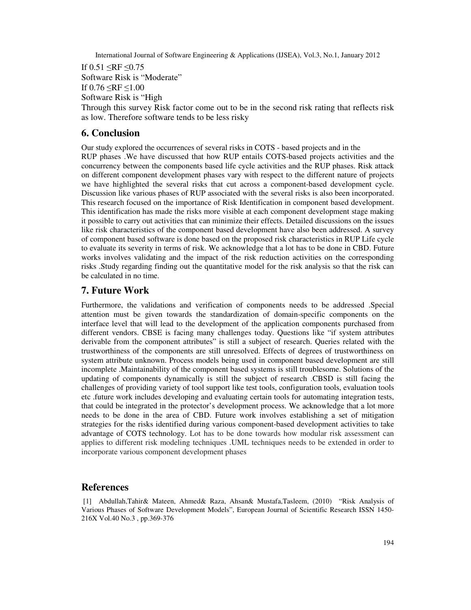If  $0.51 \leq RF \leq 0.75$ Software Risk is "Moderate" If  $0.76 \leq RF \leq 1.00$ 

Software Risk is "High

Through this survey Risk factor come out to be in the second risk rating that reflects risk as low. Therefore software tends to be less risky

## **6. Conclusion**

Our study explored the occurrences of several risks in COTS - based projects and in the RUP phases .We have discussed that how RUP entails COTS-based projects activities and the concurrency between the components based life cycle activities and the RUP phases. Risk attack on different component development phases vary with respect to the different nature of projects we have highlighted the several risks that cut across a component-based development cycle. Discussion like various phases of RUP associated with the several risks is also been incorporated. This research focused on the importance of Risk Identification in component based development. This identification has made the risks more visible at each component development stage making it possible to carry out activities that can minimize their effects. Detailed discussions on the issues like risk characteristics of the component based development have also been addressed. A survey of component based software is done based on the proposed risk characteristics in RUP Life cycle to evaluate its severity in terms of risk. We acknowledge that a lot has to be done in CBD. Future works involves validating and the impact of the risk reduction activities on the corresponding risks .Study regarding finding out the quantitative model for the risk analysis so that the risk can be calculated in no time.

## **7. Future Work**

Furthermore, the validations and verification of components needs to be addressed .Special attention must be given towards the standardization of domain-specific components on the interface level that will lead to the development of the application components purchased from different vendors. CBSE is facing many challenges today. Questions like "if system attributes derivable from the component attributes" is still a subject of research. Queries related with the trustworthiness of the components are still unresolved. Effects of degrees of trustworthiness on system attribute unknown. Process models being used in component based development are still incomplete .Maintainability of the component based systems is still troublesome. Solutions of the updating of components dynamically is still the subject of research .CBSD is still facing the challenges of providing variety of tool support like test tools, configuration tools, evaluation tools etc .future work includes developing and evaluating certain tools for automating integration tests, that could be integrated in the protector's development process. We acknowledge that a lot more needs to be done in the area of CBD. Future work involves establishing a set of mitigation strategies for the risks identified during various component-based development activities to take advantage of COTS technology. Lot has to be done towards how modular risk assessment can applies to different risk modeling techniques .UML techniques needs to be extended in order to incorporate various component development phases

## **References**

 [1] Abdullah,Tahir& Mateen, Ahmed& Raza, Ahsan& Mustafa,Tasleem, (2010) "Risk Analysis of Various Phases of Software Development Models", European Journal of Scientific Research ISSN 1450- 216X Vol.40 No.3 , pp.369-376